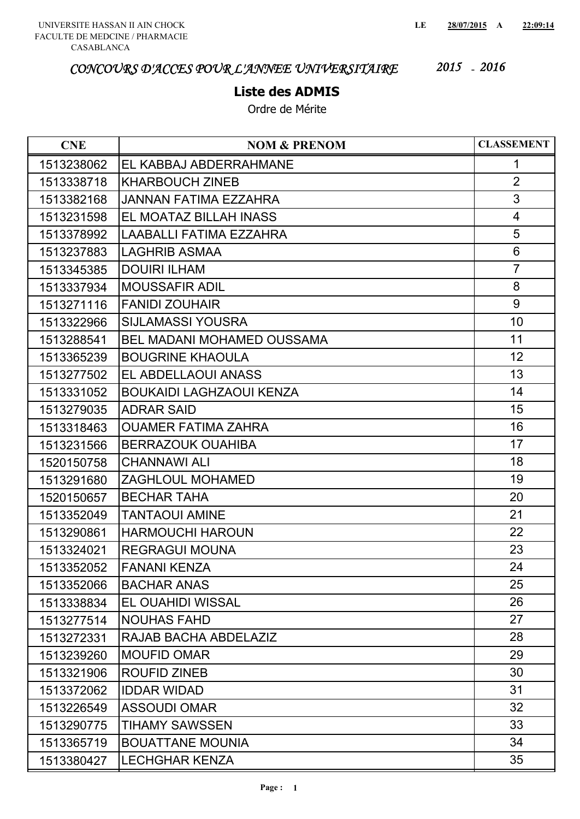#### **Liste des ADMIS**

| <b>CNE</b> | <b>NOM &amp; PRENOM</b>           | <b>CLASSEMENT</b> |
|------------|-----------------------------------|-------------------|
| 1513238062 | EL KABBAJ ABDERRAHMANE            | 1                 |
| 1513338718 | <b>KHARBOUCH ZINEB</b>            | $\overline{2}$    |
| 1513382168 | JANNAN FATIMA EZZAHRA             | 3                 |
| 1513231598 | EL MOATAZ BILLAH INASS            | $\overline{4}$    |
| 1513378992 | LAABALLI FATIMA EZZAHRA           | 5                 |
| 1513237883 | <b>LAGHRIB ASMAA</b>              | 6                 |
| 1513345385 | <b>DOUIRI ILHAM</b>               | $\overline{7}$    |
| 1513337934 | <b>MOUSSAFIR ADIL</b>             | 8                 |
| 1513271116 | <b>FANIDI ZOUHAIR</b>             | 9                 |
| 1513322966 | <b>SIJLAMASSI YOUSRA</b>          | 10                |
| 1513288541 | <b>BEL MADANI MOHAMED OUSSAMA</b> | 11                |
| 1513365239 | <b>BOUGRINE KHAOULA</b>           | 12                |
| 1513277502 | EL ABDELLAOUI ANASS               | 13                |
| 1513331052 | <b>BOUKAIDI LAGHZAOUI KENZA</b>   | 14                |
| 1513279035 | <b>ADRAR SAID</b>                 | 15                |
| 1513318463 | <b>OUAMER FATIMA ZAHRA</b>        | 16                |
| 1513231566 | <b>BERRAZOUK OUAHIBA</b>          | 17                |
| 1520150758 | <b>CHANNAWI ALI</b>               | 18                |
| 1513291680 | ZAGHLOUL MOHAMED                  | 19                |
| 1520150657 | <b>BECHAR TAHA</b>                | 20                |
| 1513352049 | <b>TANTAOUI AMINE</b>             | 21                |
| 1513290861 | <b>HARMOUCHI HAROUN</b>           | 22                |
| 1513324021 | <b>REGRAGUI MOUNA</b>             | 23                |
| 1513352052 | <b>FANANI KENZA</b>               | 24                |
| 1513352066 | <b>BACHAR ANAS</b>                | 25                |
| 1513338834 | EL OUAHIDI WISSAL                 | 26                |
| 1513277514 | <b>NOUHAS FAHD</b>                | 27                |
| 1513272331 | RAJAB BACHA ABDELAZIZ             | 28                |
| 1513239260 | <b>MOUFID OMAR</b>                | 29                |
| 1513321906 | <b>ROUFID ZINEB</b>               | 30                |
| 1513372062 | <b>IDDAR WIDAD</b>                | 31                |
| 1513226549 | <b>ASSOUDI OMAR</b>               | 32                |
| 1513290775 | TIHAMY SAWSSEN                    | 33                |
| 1513365719 | <b>BOUATTANE MOUNIA</b>           | 34                |
| 1513380427 | <b>LECHGHAR KENZA</b>             | 35                |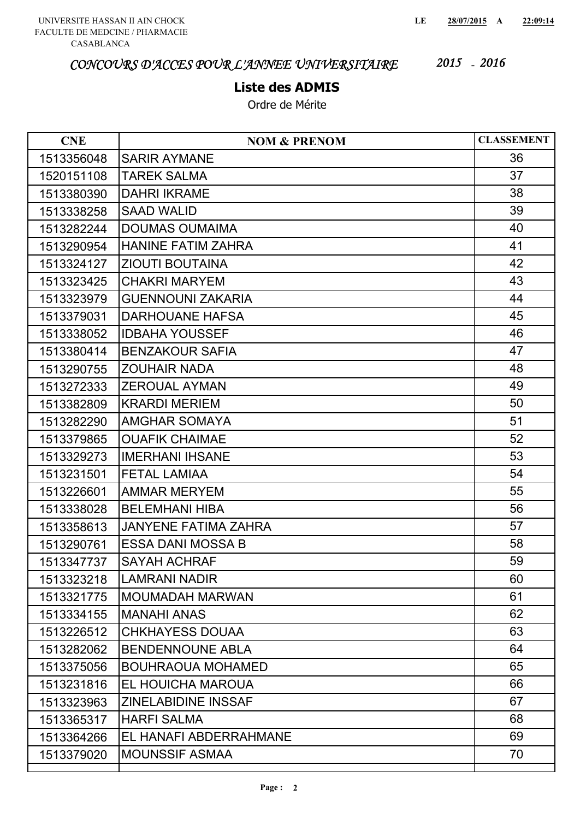### **Liste des ADMIS**

| <b>CNE</b> | <b>NOM &amp; PRENOM</b>     | <b>CLASSEMENT</b> |
|------------|-----------------------------|-------------------|
| 1513356048 | <b>SARIR AYMANE</b>         | 36                |
| 1520151108 | <b>TAREK SALMA</b>          | 37                |
| 1513380390 | <b>DAHRI IKRAME</b>         | 38                |
| 1513338258 | <b>SAAD WALID</b>           | 39                |
| 1513282244 | <b>DOUMAS OUMAIMA</b>       | 40                |
| 1513290954 | <b>HANINE FATIM ZAHRA</b>   | 41                |
| 1513324127 | <b>ZIOUTI BOUTAINA</b>      | 42                |
| 1513323425 | <b>CHAKRI MARYEM</b>        | 43                |
| 1513323979 | <b>GUENNOUNI ZAKARIA</b>    | 44                |
| 1513379031 | <b>DARHOUANE HAFSA</b>      | 45                |
| 1513338052 | <b>IDBAHA YOUSSEF</b>       | 46                |
| 1513380414 | <b>BENZAKOUR SAFIA</b>      | 47                |
| 1513290755 | <b>ZOUHAIR NADA</b>         | 48                |
| 1513272333 | <b>ZEROUAL AYMAN</b>        | 49                |
| 1513382809 | <b>KRARDI MERIEM</b>        | 50                |
| 1513282290 | <b>AMGHAR SOMAYA</b>        | 51                |
| 1513379865 | <b>OUAFIK CHAIMAE</b>       | 52                |
| 1513329273 | <b>IMERHANI IHSANE</b>      | 53                |
| 1513231501 | <b>FETAL LAMIAA</b>         | 54                |
| 1513226601 | <b>AMMAR MERYEM</b>         | 55                |
| 1513338028 | <b>BELEMHANI HIBA</b>       | 56                |
| 1513358613 | <b>JANYENE FATIMA ZAHRA</b> | 57                |
| 1513290761 | <b>ESSA DANI MOSSA B</b>    | 58                |
| 1513347737 | <b>SAYAH ACHRAF</b>         | 59                |
| 1513323218 | <b>LAMRANI NADIR</b>        | 60                |
| 1513321775 | <b>MOUMADAH MARWAN</b>      | 61                |
| 1513334155 | <b>MANAHI ANAS</b>          | 62                |
| 1513226512 | <b>CHKHAYESS DOUAA</b>      | 63                |
| 1513282062 | <b>BENDENNOUNE ABLA</b>     | 64                |
| 1513375056 | <b>BOUHRAOUA MOHAMED</b>    | 65                |
| 1513231816 | EL HOUICHA MAROUA           | 66                |
| 1513323963 | <b>ZINELABIDINE INSSAF</b>  | 67                |
| 1513365317 | <b>HARFI SALMA</b>          | 68                |
| 1513364266 | EL HANAFI ABDERRAHMANE      | 69                |
| 1513379020 | <b>MOUNSSIF ASMAA</b>       | 70                |
|            |                             |                   |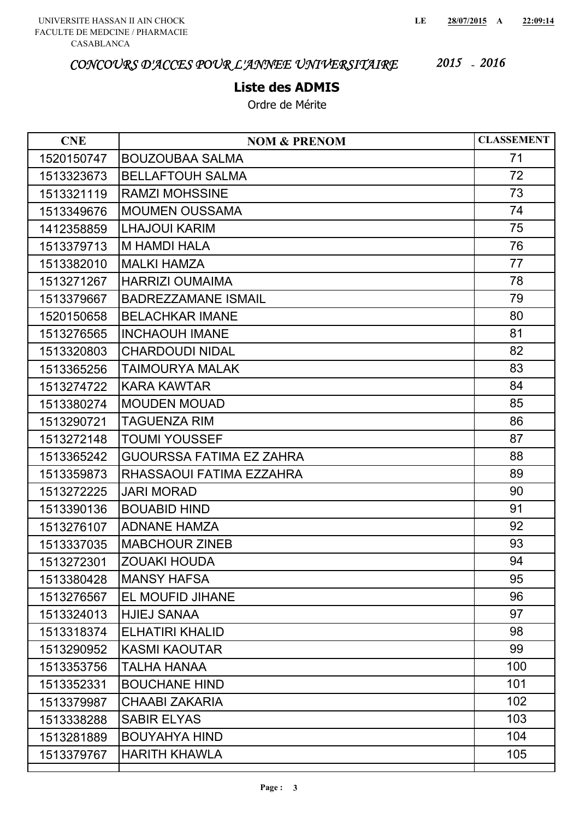## **Liste des ADMIS**

| <b>CNE</b> | <b>NOM &amp; PRENOM</b>         | <b>CLASSEMENT</b> |
|------------|---------------------------------|-------------------|
| 1520150747 | <b>BOUZOUBAA SALMA</b>          | 71                |
| 1513323673 | <b>BELLAFTOUH SALMA</b>         | 72                |
| 1513321119 | <b>RAMZI MOHSSINE</b>           | 73                |
| 1513349676 | <b>MOUMEN OUSSAMA</b>           | 74                |
| 1412358859 | <b>LHAJOUI KARIM</b>            | 75                |
| 1513379713 | <b>M HAMDI HALA</b>             | 76                |
| 1513382010 | <b>MALKI HAMZA</b>              | 77                |
| 1513271267 | <b>HARRIZI OUMAIMA</b>          | 78                |
| 1513379667 | <b>BADREZZAMANE ISMAIL</b>      | 79                |
| 1520150658 | <b>BELACHKAR IMANE</b>          | 80                |
| 1513276565 | <b>INCHAOUH IMANE</b>           | 81                |
| 1513320803 | <b>CHARDOUDI NIDAL</b>          | 82                |
| 1513365256 | TAIMOURYA MALAK                 | 83                |
| 1513274722 | <b>KARA KAWTAR</b>              | 84                |
| 1513380274 | <b>MOUDEN MOUAD</b>             | 85                |
| 1513290721 | <b>TAGUENZA RIM</b>             | 86                |
| 1513272148 | <b>TOUMI YOUSSEF</b>            | 87                |
| 1513365242 | <b>GUOURSSA FATIMA EZ ZAHRA</b> | 88                |
| 1513359873 | RHASSAOUI FATIMA EZZAHRA        | 89                |
| 1513272225 | <b>JARI MORAD</b>               | 90                |
| 1513390136 | <b>BOUABID HIND</b>             | 91                |
| 1513276107 | <b>ADNANE HAMZA</b>             | 92                |
| 1513337035 | <b>MABCHOUR ZINEB</b>           | 93                |
| 1513272301 | <b>ZOUAKI HOUDA</b>             | 94                |
| 1513380428 | <b>MANSY HAFSA</b>              | 95                |
| 1513276567 | EL MOUFID JIHANE                | 96                |
| 1513324013 | <b>HJIEJ SANAA</b>              | 97                |
| 1513318374 | <b>ELHATIRI KHALID</b>          | 98                |
| 1513290952 | <b>KASMI KAOUTAR</b>            | 99                |
| 1513353756 | TALHA HANAA                     | 100               |
| 1513352331 | <b>BOUCHANE HIND</b>            | 101               |
| 1513379987 | <b>CHAABI ZAKARIA</b>           | 102               |
| 1513338288 | <b>SABIR ELYAS</b>              | 103               |
| 1513281889 | <b>BOUYAHYA HIND</b>            | 104               |
| 1513379767 | <b>HARITH KHAWLA</b>            | 105               |
|            |                                 |                   |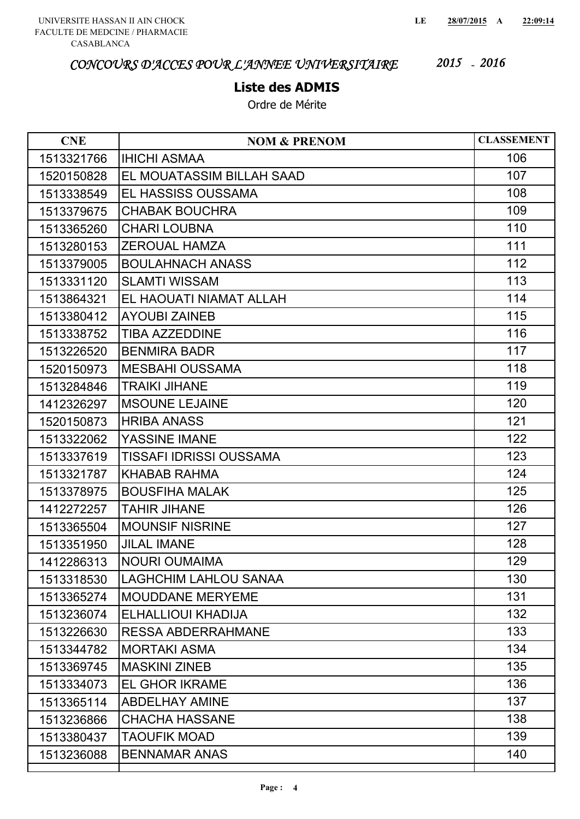## **Liste des ADMIS**

| 106<br>1513321766<br><b>IHICHI ASMAA</b><br>107<br>1520150828<br>EL MOUATASSIM BILLAH SAAD<br>108<br>EL HASSISS OUSSAMA<br>1513338549<br>109<br><b>CHABAK BOUCHRA</b><br>1513379675<br>110<br><b>CHARI LOUBNA</b><br>1513365260<br>111<br>1513280153<br><b>ZEROUAL HAMZA</b><br>112<br>1513379005<br><b>BOULAHNACH ANASS</b><br>113<br><b>SLAMTI WISSAM</b><br>1513331120<br>114<br>EL HAOUATI NIAMAT ALLAH<br>1513864321<br>115<br><b>AYOUBI ZAINEB</b><br>1513380412<br>116<br><b>TIBA AZZEDDINE</b><br>1513338752<br>117<br>1513226520<br><b>BENMIRA BADR</b><br>118<br><b>MESBAHI OUSSAMA</b><br>1520150973<br>119<br><b>TRAIKI JIHANE</b><br>1513284846<br>120<br><b>MSOUNE LEJAINE</b><br>1412326297<br>121<br><b>HRIBA ANASS</b><br>1520150873<br>YASSINE IMANE<br>122<br>1513322062<br>123<br><b>TISSAFI IDRISSI OUSSAMA</b><br>1513337619<br>124<br><b>KHABAB RAHMA</b><br>1513321787<br>125<br>1513378975<br><b>BOUSFIHA MALAK</b><br>126<br><b>TAHIR JIHANE</b><br>1412272257<br>127<br><b>MOUNSIF NISRINE</b><br>1513365504<br>128<br><b>JILAL IMANE</b><br>1513351950<br>129<br><b>NOURI OUMAIMA</b><br>1412286313<br>130<br><b>LAGHCHIM LAHLOU SANAA</b><br>1513318530<br>131<br><b>MOUDDANE MERYEME</b><br>1513365274<br>132<br>ELHALLIOUI KHADIJA<br>1513236074<br>133<br><b>RESSA ABDERRAHMANE</b><br>1513226630<br>134<br>1513344782<br><b>MORTAKI ASMA</b><br>135<br><b>MASKINI ZINEB</b><br>1513369745<br>136<br>1513334073<br><b>EL GHOR IKRAME</b> | <b>CNE</b> | <b>NOM &amp; PRENOM</b> | <b>CLASSEMENT</b> |
|--------------------------------------------------------------------------------------------------------------------------------------------------------------------------------------------------------------------------------------------------------------------------------------------------------------------------------------------------------------------------------------------------------------------------------------------------------------------------------------------------------------------------------------------------------------------------------------------------------------------------------------------------------------------------------------------------------------------------------------------------------------------------------------------------------------------------------------------------------------------------------------------------------------------------------------------------------------------------------------------------------------------------------------------------------------------------------------------------------------------------------------------------------------------------------------------------------------------------------------------------------------------------------------------------------------------------------------------------------------------------------------------------------------------------------------------------------------------------|------------|-------------------------|-------------------|
|                                                                                                                                                                                                                                                                                                                                                                                                                                                                                                                                                                                                                                                                                                                                                                                                                                                                                                                                                                                                                                                                                                                                                                                                                                                                                                                                                                                                                                                                          |            |                         |                   |
|                                                                                                                                                                                                                                                                                                                                                                                                                                                                                                                                                                                                                                                                                                                                                                                                                                                                                                                                                                                                                                                                                                                                                                                                                                                                                                                                                                                                                                                                          |            |                         |                   |
|                                                                                                                                                                                                                                                                                                                                                                                                                                                                                                                                                                                                                                                                                                                                                                                                                                                                                                                                                                                                                                                                                                                                                                                                                                                                                                                                                                                                                                                                          |            |                         |                   |
|                                                                                                                                                                                                                                                                                                                                                                                                                                                                                                                                                                                                                                                                                                                                                                                                                                                                                                                                                                                                                                                                                                                                                                                                                                                                                                                                                                                                                                                                          |            |                         |                   |
|                                                                                                                                                                                                                                                                                                                                                                                                                                                                                                                                                                                                                                                                                                                                                                                                                                                                                                                                                                                                                                                                                                                                                                                                                                                                                                                                                                                                                                                                          |            |                         |                   |
|                                                                                                                                                                                                                                                                                                                                                                                                                                                                                                                                                                                                                                                                                                                                                                                                                                                                                                                                                                                                                                                                                                                                                                                                                                                                                                                                                                                                                                                                          |            |                         |                   |
|                                                                                                                                                                                                                                                                                                                                                                                                                                                                                                                                                                                                                                                                                                                                                                                                                                                                                                                                                                                                                                                                                                                                                                                                                                                                                                                                                                                                                                                                          |            |                         |                   |
|                                                                                                                                                                                                                                                                                                                                                                                                                                                                                                                                                                                                                                                                                                                                                                                                                                                                                                                                                                                                                                                                                                                                                                                                                                                                                                                                                                                                                                                                          |            |                         |                   |
|                                                                                                                                                                                                                                                                                                                                                                                                                                                                                                                                                                                                                                                                                                                                                                                                                                                                                                                                                                                                                                                                                                                                                                                                                                                                                                                                                                                                                                                                          |            |                         |                   |
|                                                                                                                                                                                                                                                                                                                                                                                                                                                                                                                                                                                                                                                                                                                                                                                                                                                                                                                                                                                                                                                                                                                                                                                                                                                                                                                                                                                                                                                                          |            |                         |                   |
|                                                                                                                                                                                                                                                                                                                                                                                                                                                                                                                                                                                                                                                                                                                                                                                                                                                                                                                                                                                                                                                                                                                                                                                                                                                                                                                                                                                                                                                                          |            |                         |                   |
|                                                                                                                                                                                                                                                                                                                                                                                                                                                                                                                                                                                                                                                                                                                                                                                                                                                                                                                                                                                                                                                                                                                                                                                                                                                                                                                                                                                                                                                                          |            |                         |                   |
|                                                                                                                                                                                                                                                                                                                                                                                                                                                                                                                                                                                                                                                                                                                                                                                                                                                                                                                                                                                                                                                                                                                                                                                                                                                                                                                                                                                                                                                                          |            |                         |                   |
|                                                                                                                                                                                                                                                                                                                                                                                                                                                                                                                                                                                                                                                                                                                                                                                                                                                                                                                                                                                                                                                                                                                                                                                                                                                                                                                                                                                                                                                                          |            |                         |                   |
|                                                                                                                                                                                                                                                                                                                                                                                                                                                                                                                                                                                                                                                                                                                                                                                                                                                                                                                                                                                                                                                                                                                                                                                                                                                                                                                                                                                                                                                                          |            |                         |                   |
|                                                                                                                                                                                                                                                                                                                                                                                                                                                                                                                                                                                                                                                                                                                                                                                                                                                                                                                                                                                                                                                                                                                                                                                                                                                                                                                                                                                                                                                                          |            |                         |                   |
|                                                                                                                                                                                                                                                                                                                                                                                                                                                                                                                                                                                                                                                                                                                                                                                                                                                                                                                                                                                                                                                                                                                                                                                                                                                                                                                                                                                                                                                                          |            |                         |                   |
|                                                                                                                                                                                                                                                                                                                                                                                                                                                                                                                                                                                                                                                                                                                                                                                                                                                                                                                                                                                                                                                                                                                                                                                                                                                                                                                                                                                                                                                                          |            |                         |                   |
|                                                                                                                                                                                                                                                                                                                                                                                                                                                                                                                                                                                                                                                                                                                                                                                                                                                                                                                                                                                                                                                                                                                                                                                                                                                                                                                                                                                                                                                                          |            |                         |                   |
|                                                                                                                                                                                                                                                                                                                                                                                                                                                                                                                                                                                                                                                                                                                                                                                                                                                                                                                                                                                                                                                                                                                                                                                                                                                                                                                                                                                                                                                                          |            |                         |                   |
|                                                                                                                                                                                                                                                                                                                                                                                                                                                                                                                                                                                                                                                                                                                                                                                                                                                                                                                                                                                                                                                                                                                                                                                                                                                                                                                                                                                                                                                                          |            |                         |                   |
|                                                                                                                                                                                                                                                                                                                                                                                                                                                                                                                                                                                                                                                                                                                                                                                                                                                                                                                                                                                                                                                                                                                                                                                                                                                                                                                                                                                                                                                                          |            |                         |                   |
|                                                                                                                                                                                                                                                                                                                                                                                                                                                                                                                                                                                                                                                                                                                                                                                                                                                                                                                                                                                                                                                                                                                                                                                                                                                                                                                                                                                                                                                                          |            |                         |                   |
|                                                                                                                                                                                                                                                                                                                                                                                                                                                                                                                                                                                                                                                                                                                                                                                                                                                                                                                                                                                                                                                                                                                                                                                                                                                                                                                                                                                                                                                                          |            |                         |                   |
|                                                                                                                                                                                                                                                                                                                                                                                                                                                                                                                                                                                                                                                                                                                                                                                                                                                                                                                                                                                                                                                                                                                                                                                                                                                                                                                                                                                                                                                                          |            |                         |                   |
|                                                                                                                                                                                                                                                                                                                                                                                                                                                                                                                                                                                                                                                                                                                                                                                                                                                                                                                                                                                                                                                                                                                                                                                                                                                                                                                                                                                                                                                                          |            |                         |                   |
|                                                                                                                                                                                                                                                                                                                                                                                                                                                                                                                                                                                                                                                                                                                                                                                                                                                                                                                                                                                                                                                                                                                                                                                                                                                                                                                                                                                                                                                                          |            |                         |                   |
|                                                                                                                                                                                                                                                                                                                                                                                                                                                                                                                                                                                                                                                                                                                                                                                                                                                                                                                                                                                                                                                                                                                                                                                                                                                                                                                                                                                                                                                                          |            |                         |                   |
|                                                                                                                                                                                                                                                                                                                                                                                                                                                                                                                                                                                                                                                                                                                                                                                                                                                                                                                                                                                                                                                                                                                                                                                                                                                                                                                                                                                                                                                                          |            |                         |                   |
|                                                                                                                                                                                                                                                                                                                                                                                                                                                                                                                                                                                                                                                                                                                                                                                                                                                                                                                                                                                                                                                                                                                                                                                                                                                                                                                                                                                                                                                                          |            |                         |                   |
|                                                                                                                                                                                                                                                                                                                                                                                                                                                                                                                                                                                                                                                                                                                                                                                                                                                                                                                                                                                                                                                                                                                                                                                                                                                                                                                                                                                                                                                                          |            |                         |                   |
|                                                                                                                                                                                                                                                                                                                                                                                                                                                                                                                                                                                                                                                                                                                                                                                                                                                                                                                                                                                                                                                                                                                                                                                                                                                                                                                                                                                                                                                                          | 1513365114 | <b>ABDELHAY AMINE</b>   | 137               |
| 138<br><b>CHACHA HASSANE</b><br>1513236866                                                                                                                                                                                                                                                                                                                                                                                                                                                                                                                                                                                                                                                                                                                                                                                                                                                                                                                                                                                                                                                                                                                                                                                                                                                                                                                                                                                                                               |            |                         |                   |
| 139<br><b>TAOUFIK MOAD</b><br>1513380437                                                                                                                                                                                                                                                                                                                                                                                                                                                                                                                                                                                                                                                                                                                                                                                                                                                                                                                                                                                                                                                                                                                                                                                                                                                                                                                                                                                                                                 |            |                         |                   |
| 140<br>1513236088<br><b>BENNAMAR ANAS</b>                                                                                                                                                                                                                                                                                                                                                                                                                                                                                                                                                                                                                                                                                                                                                                                                                                                                                                                                                                                                                                                                                                                                                                                                                                                                                                                                                                                                                                |            |                         |                   |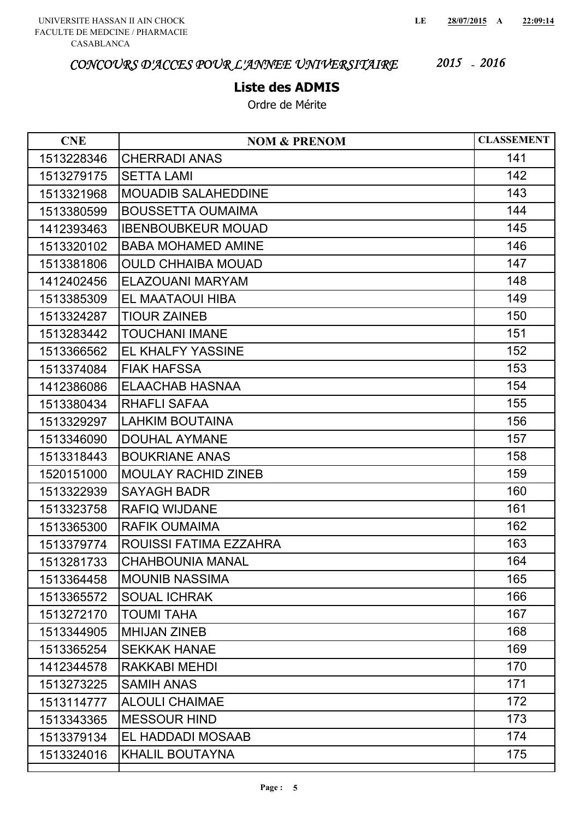## **Liste des ADMIS**

| <b>CNE</b> | <b>NOM &amp; PRENOM</b>    | <b>CLASSEMENT</b> |
|------------|----------------------------|-------------------|
| 1513228346 | <b>CHERRADI ANAS</b>       | 141               |
| 1513279175 | <b>SETTA LAMI</b>          | 142               |
| 1513321968 | MOUADIB SALAHEDDINE        | 143               |
| 1513380599 | <b>BOUSSETTA OUMAIMA</b>   | 144               |
| 1412393463 | <b>IBENBOUBKEUR MOUAD</b>  | 145               |
| 1513320102 | <b>BABA MOHAMED AMINE</b>  | 146               |
| 1513381806 | <b>OULD CHHAIBA MOUAD</b>  | 147               |
| 1412402456 | ELAZOUANI MARYAM           | 148               |
| 1513385309 | EL MAATAOUI HIBA           | 149               |
| 1513324287 | <b>TIOUR ZAINEB</b>        | 150               |
| 1513283442 | TOUCHANI IMANE             | 151               |
| 1513366562 | <b>EL KHALFY YASSINE</b>   | 152               |
| 1513374084 | <b>FIAK HAFSSA</b>         | 153               |
| 1412386086 | <b>ELAACHAB HASNAA</b>     | 154               |
| 1513380434 | <b>RHAFLI SAFAA</b>        | 155               |
| 1513329297 | <b>LAHKIM BOUTAINA</b>     | 156               |
| 1513346090 | <b>DOUHAL AYMANE</b>       | 157               |
| 1513318443 | <b>BOUKRIANE ANAS</b>      | 158               |
| 1520151000 | <b>MOULAY RACHID ZINEB</b> | 159               |
| 1513322939 | <b>SAYAGH BADR</b>         | 160               |
| 1513323758 | <b>RAFIQ WIJDANE</b>       | 161               |
| 1513365300 | <b>RAFIK OUMAIMA</b>       | 162               |
| 1513379774 | ROUISSI FATIMA EZZAHRA     | 163               |
| 1513281733 | <b>CHAHBOUNIA MANAL</b>    | 164               |
| 1513364458 | <b>MOUNIB NASSIMA</b>      | 165               |
| 1513365572 | <b>SOUAL ICHRAK</b>        | 166               |
| 1513272170 | <b>TOUMI TAHA</b>          | 167               |
| 1513344905 | <b>MHIJAN ZINEB</b>        | 168               |
| 1513365254 | <b>SEKKAK HANAE</b>        | 169               |
| 1412344578 | <b>RAKKABI MEHDI</b>       | 170               |
| 1513273225 | <b>SAMIH ANAS</b>          | 171               |
| 1513114777 | <b>ALOULI CHAIMAE</b>      | 172               |
| 1513343365 | <b>MESSOUR HIND</b>        | 173               |
| 1513379134 | EL HADDADI MOSAAB          | 174               |
| 1513324016 | <b>KHALIL BOUTAYNA</b>     | 175               |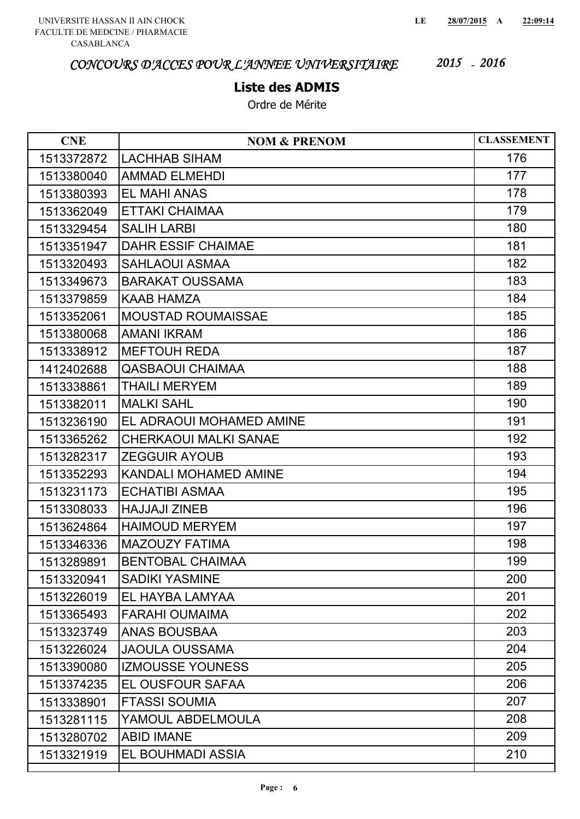## **Liste des ADMIS**

| <b>CNE</b> | <b>NOM &amp; PRENOM</b>      | <b>CLASSEMENT</b> |
|------------|------------------------------|-------------------|
| 1513372872 | <b>LACHHAB SIHAM</b>         | 176               |
| 1513380040 | <b>AMMAD ELMEHDI</b>         | 177               |
| 1513380393 | <b>EL MAHI ANAS</b>          | 178               |
| 1513362049 | <b>ETTAKI CHAIMAA</b>        | 179               |
| 1513329454 | <b>SALIH LARBI</b>           | 180               |
| 1513351947 | <b>DAHR ESSIF CHAIMAE</b>    | 181               |
| 1513320493 | <b>SAHLAOUI ASMAA</b>        | 182               |
| 1513349673 | <b>BARAKAT OUSSAMA</b>       | 183               |
| 1513379859 | <b>KAAB HAMZA</b>            | 184               |
| 1513352061 | <b>MOUSTAD ROUMAISSAE</b>    | 185               |
| 1513380068 | <b>AMANI IKRAM</b>           | 186               |
| 1513338912 | <b>MEFTOUH REDA</b>          | 187               |
| 1412402688 | <b>QASBAOUI CHAIMAA</b>      | 188               |
| 1513338861 | <b>THAILI MERYEM</b>         | 189               |
| 1513382011 | <b>MALKI SAHL</b>            | 190               |
| 1513236190 | EL ADRAOUI MOHAMED AMINE     | 191               |
| 1513365262 | <b>CHERKAOUI MALKI SANAE</b> | 192               |
| 1513282317 | <b>ZEGGUIR AYOUB</b>         | 193               |
| 1513352293 | <b>KANDALI MOHAMED AMINE</b> | 194               |
| 1513231173 | <b>ECHATIBI ASMAA</b>        | 195               |
| 1513308033 | <b>HAJJAJI ZINEB</b>         | 196               |
| 1513624864 | <b>HAIMOUD MERYEM</b>        | 197               |
| 1513346336 | <b>MAZOUZY FATIMA</b>        | 198               |
| 1513289891 | <b>BENTOBAL CHAIMAA</b>      | 199               |
| 1513320941 | <b>SADIKI YASMINE</b>        | 200               |
| 1513226019 | EL HAYBA LAMYAA              | 201               |
| 1513365493 | <b>FARAHI OUMAIMA</b>        | 202               |
| 1513323749 | <b>ANAS BOUSBAA</b>          | 203               |
| 1513226024 | <b>JAOULA OUSSAMA</b>        | 204               |
| 1513390080 | <b>IZMOUSSE YOUNESS</b>      | 205               |
| 1513374235 | EL OUSFOUR SAFAA             | 206               |
| 1513338901 | <b>FTASSI SOUMIA</b>         | 207               |
| 1513281115 | YAMOUL ABDELMOULA            | 208               |
| 1513280702 | <b>ABID IMANE</b>            | 209               |
| 1513321919 | EL BOUHMADI ASSIA            | 210               |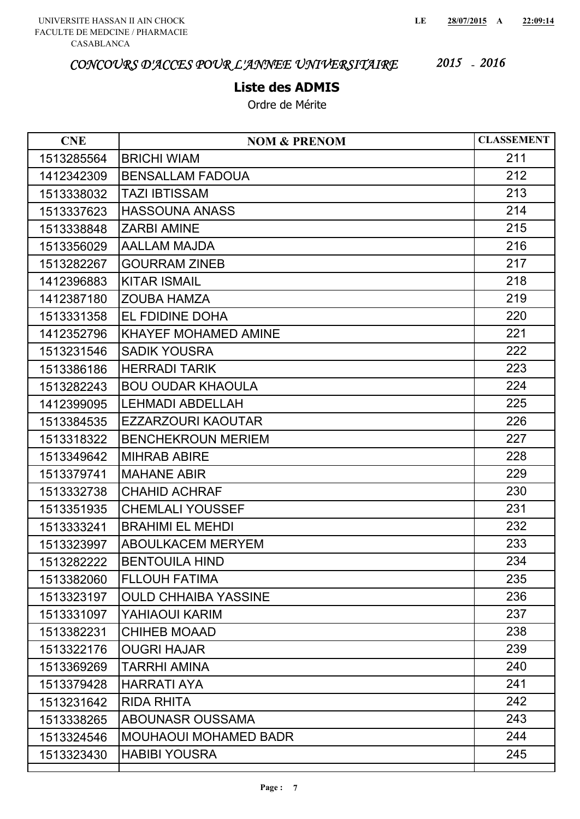#### **Liste des ADMIS**

| <b>CNE</b> | <b>NOM &amp; PRENOM</b>      | <b>CLASSEMENT</b> |
|------------|------------------------------|-------------------|
| 1513285564 | <b>BRICHI WIAM</b>           | 211               |
| 1412342309 | <b>BENSALLAM FADOUA</b>      | 212               |
| 1513338032 | <b>TAZI IBTISSAM</b>         | 213               |
| 1513337623 | <b>HASSOUNA ANASS</b>        | 214               |
| 1513338848 | <b>ZARBI AMINE</b>           | 215               |
| 1513356029 | <b>AALLAM MAJDA</b>          | 216               |
| 1513282267 | <b>GOURRAM ZINEB</b>         | 217               |
| 1412396883 | <b>KITAR ISMAIL</b>          | 218               |
| 1412387180 | <b>ZOUBA HAMZA</b>           | 219               |
| 1513331358 | EL FDIDINE DOHA              | 220               |
| 1412352796 | <b>KHAYEF MOHAMED AMINE</b>  | 221               |
| 1513231546 | <b>SADIK YOUSRA</b>          | 222               |
| 1513386186 | <b>HERRADI TARIK</b>         | 223               |
| 1513282243 | <b>BOU OUDAR KHAOULA</b>     | 224               |
| 1412399095 | <b>LEHMADI ABDELLAH</b>      | 225               |
| 1513384535 | <b>EZZARZOURI KAOUTAR</b>    | 226               |
| 1513318322 | <b>BENCHEKROUN MERIEM</b>    | 227               |
| 1513349642 | <b>MIHRAB ABIRE</b>          | 228               |
| 1513379741 | <b>MAHANE ABIR</b>           | 229               |
| 1513332738 | <b>CHAHID ACHRAF</b>         | 230               |
| 1513351935 | <b>CHEMLALI YOUSSEF</b>      | 231               |
| 1513333241 | <b>BRAHIMI EL MEHDI</b>      | 232               |
| 1513323997 | <b>ABOULKACEM MERYEM</b>     | 233               |
| 1513282222 | <b>BENTOUILA HIND</b>        | 234               |
| 1513382060 | <b>FLLOUH FATIMA</b>         | 235               |
| 1513323197 | <b>OULD CHHAIBA YASSINE</b>  | 236               |
| 1513331097 | YAHIAOUI KARIM               | 237               |
| 1513382231 | <b>CHIHEB MOAAD</b>          | 238               |
| 1513322176 | <b>OUGRI HAJAR</b>           | 239               |
| 1513369269 | <b>TARRHI AMINA</b>          | 240               |
| 1513379428 | <b>HARRATI AYA</b>           | 241               |
| 1513231642 | <b>RIDA RHITA</b>            | 242               |
| 1513338265 | <b>ABOUNASR OUSSAMA</b>      | 243               |
| 1513324546 | <b>MOUHAOUI MOHAMED BADR</b> | 244               |
| 1513323430 | <b>HABIBI YOUSRA</b>         | 245               |
|            |                              |                   |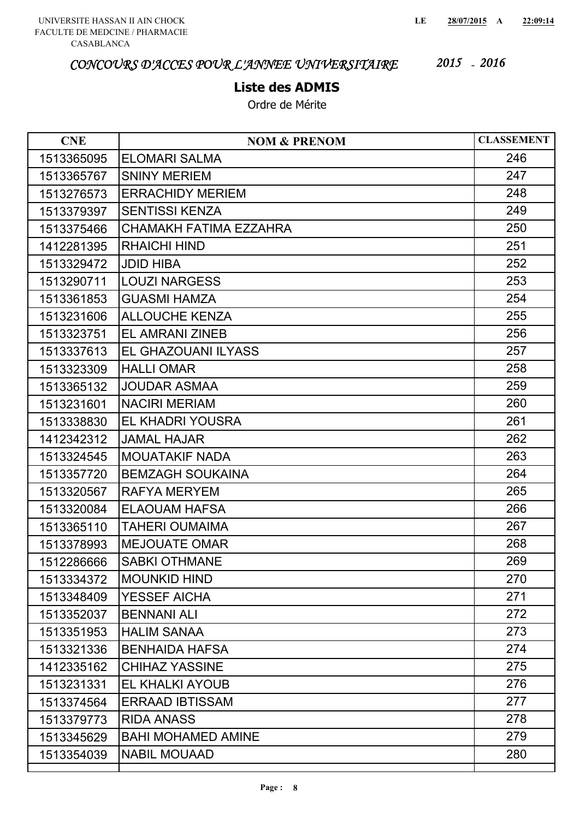#### **Liste des ADMIS**

| <b>CNE</b> | <b>NOM &amp; PRENOM</b>   | <b>CLASSEMENT</b> |
|------------|---------------------------|-------------------|
| 1513365095 | <b>ELOMARI SALMA</b>      | 246               |
| 1513365767 | <b>SNINY MERIEM</b>       | 247               |
| 1513276573 | <b>ERRACHIDY MERIEM</b>   | 248               |
| 1513379397 | <b>SENTISSI KENZA</b>     | 249               |
| 1513375466 | CHAMAKH FATIMA EZZAHRA    | 250               |
| 1412281395 | <b>RHAICHI HIND</b>       | 251               |
| 1513329472 | <b>JDID HIBA</b>          | 252               |
| 1513290711 | <b>LOUZI NARGESS</b>      | 253               |
| 1513361853 | <b>GUASMI HAMZA</b>       | 254               |
| 1513231606 | <b>ALLOUCHE KENZA</b>     | 255               |
| 1513323751 | <b>EL AMRANI ZINEB</b>    | 256               |
| 1513337613 | EL GHAZOUANI ILYASS       | 257               |
| 1513323309 | <b>HALLI OMAR</b>         | 258               |
| 1513365132 | <b>JOUDAR ASMAA</b>       | 259               |
| 1513231601 | <b>NACIRI MERIAM</b>      | 260               |
| 1513338830 | EL KHADRI YOUSRA          | 261               |
| 1412342312 | <b>JAMAL HAJAR</b>        | 262               |
| 1513324545 | <b>MOUATAKIF NADA</b>     | 263               |
| 1513357720 | <b>BEMZAGH SOUKAINA</b>   | 264               |
| 1513320567 | <b>RAFYA MERYEM</b>       | 265               |
| 1513320084 | <b>ELAOUAM HAFSA</b>      | 266               |
| 1513365110 | TAHERI OUMAIMA            | 267               |
| 1513378993 | <b>MEJOUATE OMAR</b>      | 268               |
| 1512286666 | <b>SABKI OTHMANE</b>      | 269               |
| 1513334372 | <b>MOUNKID HIND</b>       | 270               |
| 1513348409 | <b>YESSEF AICHA</b>       | 271               |
| 1513352037 | <b>BENNANI ALI</b>        | 272               |
| 1513351953 | <b>HALIM SANAA</b>        | 273               |
| 1513321336 | <b>BENHAIDA HAFSA</b>     | 274               |
| 1412335162 | <b>CHIHAZ YASSINE</b>     | 275               |
| 1513231331 | EL KHALKI AYOUB           | 276               |
| 1513374564 | <b>ERRAAD IBTISSAM</b>    | 277               |
| 1513379773 | <b>RIDA ANASS</b>         | 278               |
| 1513345629 | <b>BAHI MOHAMED AMINE</b> | 279               |
| 1513354039 | <b>NABIL MOUAAD</b>       | 280               |
|            |                           |                   |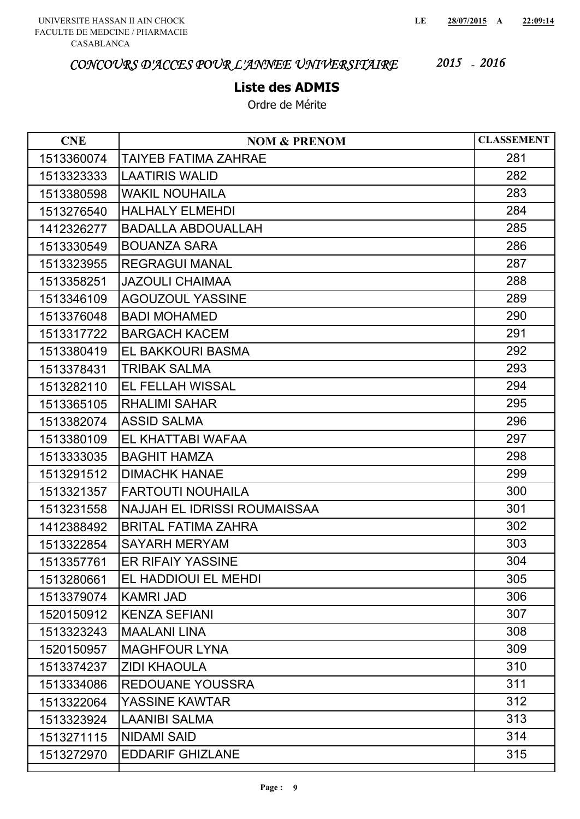#### **Liste des ADMIS**

| <b>CNE</b> | <b>NOM &amp; PRENOM</b>             | <b>CLASSEMENT</b> |
|------------|-------------------------------------|-------------------|
| 1513360074 | TAIYEB FATIMA ZAHRAE                | 281               |
| 1513323333 | <b>LAATIRIS WALID</b>               | 282               |
| 1513380598 | <b>WAKIL NOUHAILA</b>               | 283               |
| 1513276540 | <b>HALHALY ELMEHDI</b>              | 284               |
| 1412326277 | <b>BADALLA ABDOUALLAH</b>           | 285               |
| 1513330549 | <b>BOUANZA SARA</b>                 | 286               |
| 1513323955 | <b>REGRAGUI MANAL</b>               | 287               |
| 1513358251 | <b>JAZOULI CHAIMAA</b>              | 288               |
| 1513346109 | <b>AGOUZOUL YASSINE</b>             | 289               |
| 1513376048 | <b>BADI MOHAMED</b>                 | 290               |
| 1513317722 | <b>BARGACH KACEM</b>                | 291               |
| 1513380419 | EL BAKKOURI BASMA                   | 292               |
| 1513378431 | <b>TRIBAK SALMA</b>                 | 293               |
| 1513282110 | EL FELLAH WISSAL                    | 294               |
| 1513365105 | <b>RHALIMI SAHAR</b>                | 295               |
| 1513382074 | <b>ASSID SALMA</b>                  | 296               |
| 1513380109 | EL KHATTABI WAFAA                   | 297               |
| 1513333035 | <b>BAGHIT HAMZA</b>                 | 298               |
| 1513291512 | <b>DIMACHK HANAE</b>                | 299               |
| 1513321357 | <b>FARTOUTI NOUHAILA</b>            | 300               |
| 1513231558 | <b>NAJJAH EL IDRISSI ROUMAISSAA</b> | 301               |
| 1412388492 | <b>BRITAL FATIMA ZAHRA</b>          | 302               |
| 1513322854 | <b>SAYARH MERYAM</b>                | 303               |
| 1513357761 | <b>ER RIFAIY YASSINE</b>            | 304               |
| 1513280661 | EL HADDIOUI EL MEHDI                | 305               |
| 1513379074 | <b>KAMRI JAD</b>                    | 306               |
| 1520150912 | <b>KENZA SEFIANI</b>                | 307               |
| 1513323243 | <b>MAALANI LINA</b>                 | 308               |
| 1520150957 | <b>MAGHFOUR LYNA</b>                | 309               |
| 1513374237 | <b>ZIDI KHAOULA</b>                 | 310               |
| 1513334086 | <b>REDOUANE YOUSSRA</b>             | 311               |
| 1513322064 | YASSINE KAWTAR                      | 312               |
| 1513323924 | <b>LAANIBI SALMA</b>                | 313               |
| 1513271115 | <b>NIDAMI SAID</b>                  | 314               |
| 1513272970 | <b>EDDARIF GHIZLANE</b>             | 315               |
|            |                                     |                   |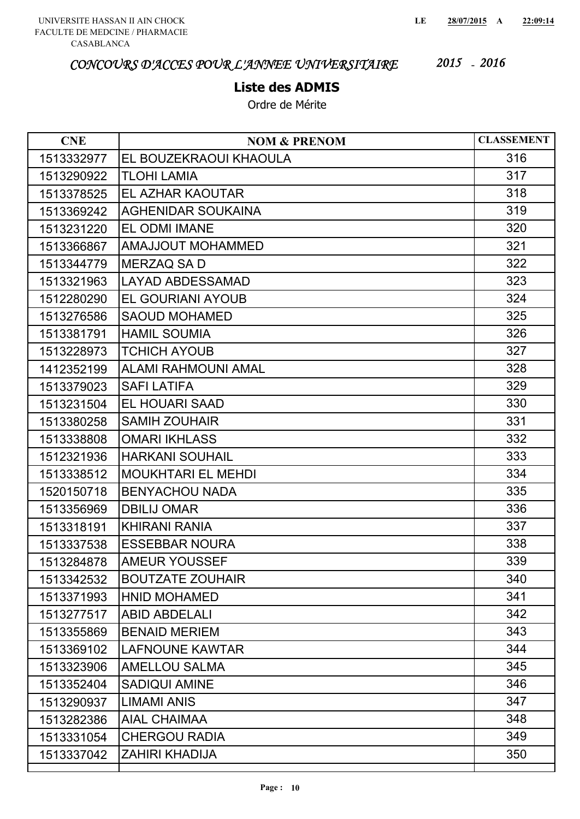## **Liste des ADMIS**

| <b>CNE</b> | <b>NOM &amp; PRENOM</b>    | <b>CLASSEMENT</b> |
|------------|----------------------------|-------------------|
| 1513332977 | EL BOUZEKRAOUI KHAOULA     | 316               |
| 1513290922 | <b>TLOHI LAMIA</b>         | 317               |
| 1513378525 | EL AZHAR KAOUTAR           | 318               |
| 1513369242 | <b>AGHENIDAR SOUKAINA</b>  | 319               |
| 1513231220 | EL ODMI IMANE              | 320               |
| 1513366867 | <b>AMAJJOUT MOHAMMED</b>   | 321               |
| 1513344779 | <b>MERZAQ SA D</b>         | 322               |
| 1513321963 | <b>LAYAD ABDESSAMAD</b>    | 323               |
| 1512280290 | <b>EL GOURIANI AYOUB</b>   | 324               |
| 1513276586 | <b>SAOUD MOHAMED</b>       | 325               |
| 1513381791 | <b>HAMIL SOUMIA</b>        | 326               |
| 1513228973 | <b>TCHICH AYOUB</b>        | 327               |
| 1412352199 | <b>ALAMI RAHMOUNI AMAL</b> | 328               |
| 1513379023 | <b>SAFI LATIFA</b>         | 329               |
| 1513231504 | <b>EL HOUARI SAAD</b>      | 330               |
| 1513380258 | <b>SAMIH ZOUHAIR</b>       | 331               |
| 1513338808 | <b>OMARI IKHLASS</b>       | 332               |
| 1512321936 | <b>HARKANI SOUHAIL</b>     | 333               |
| 1513338512 | <b>MOUKHTARI EL MEHDI</b>  | 334               |
| 1520150718 | <b>BENYACHOU NADA</b>      | 335               |
| 1513356969 | <b>DBILIJ OMAR</b>         | 336               |
| 1513318191 | <b>KHIRANI RANIA</b>       | 337               |
| 1513337538 | <b>ESSEBBAR NOURA</b>      | 338               |
| 1513284878 | <b>AMEUR YOUSSEF</b>       | 339               |
| 1513342532 | <b>BOUTZATE ZOUHAIR</b>    | 340               |
| 1513371993 | <b>HNID MOHAMED</b>        | 341               |
| 1513277517 | <b>ABID ABDELALI</b>       | 342               |
| 1513355869 | <b>BENAID MERIEM</b>       | 343               |
| 1513369102 | <b>LAFNOUNE KAWTAR</b>     | 344               |
| 1513323906 | <b>AMELLOU SALMA</b>       | 345               |
| 1513352404 | <b>SADIQUI AMINE</b>       | 346               |
| 1513290937 | <b>LIMAMI ANIS</b>         | 347               |
| 1513282386 | <b>AIAL CHAIMAA</b>        | 348               |
| 1513331054 | <b>CHERGOU RADIA</b>       | 349               |
| 1513337042 | <b>ZAHIRI KHADIJA</b>      | 350               |
|            |                            |                   |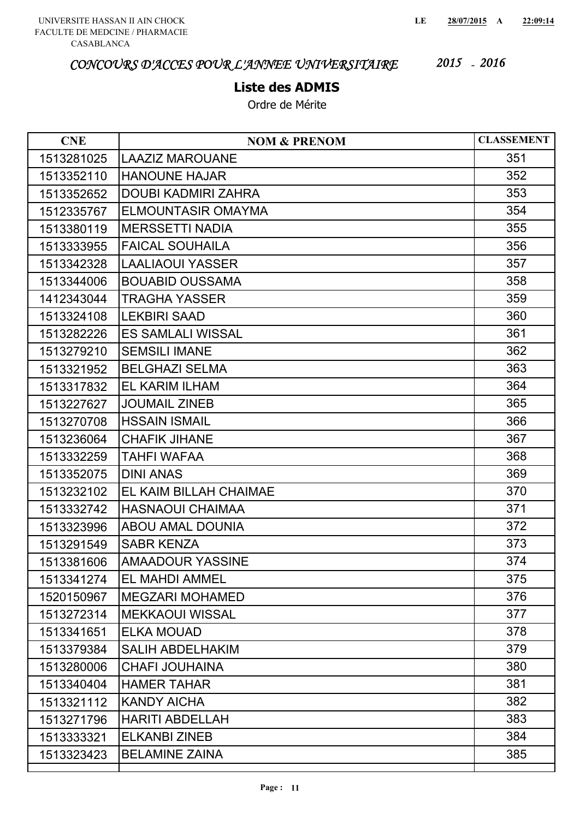### **Liste des ADMIS**

| <b>CNE</b> | <b>NOM &amp; PRENOM</b>    | <b>CLASSEMENT</b> |
|------------|----------------------------|-------------------|
| 1513281025 | <b>LAAZIZ MAROUANE</b>     | 351               |
| 1513352110 | <b>HANOUNE HAJAR</b>       | 352               |
| 1513352652 | <b>DOUBI KADMIRI ZAHRA</b> | 353               |
| 1512335767 | <b>ELMOUNTASIR OMAYMA</b>  | 354               |
| 1513380119 | <b>MERSSETTI NADIA</b>     | 355               |
| 1513333955 | <b>FAICAL SOUHAILA</b>     | 356               |
| 1513342328 | <b>LAALIAOUI YASSER</b>    | 357               |
| 1513344006 | <b>BOUABID OUSSAMA</b>     | 358               |
| 1412343044 | <b>TRAGHA YASSER</b>       | 359               |
| 1513324108 | <b>LEKBIRI SAAD</b>        | 360               |
| 1513282226 | <b>ES SAMLALI WISSAL</b>   | 361               |
| 1513279210 | <b>SEMSILI IMANE</b>       | 362               |
| 1513321952 | <b>BELGHAZI SELMA</b>      | 363               |
| 1513317832 | <b>EL KARIM ILHAM</b>      | 364               |
| 1513227627 | <b>JOUMAIL ZINEB</b>       | 365               |
| 1513270708 | <b>HSSAIN ISMAIL</b>       | 366               |
| 1513236064 | <b>CHAFIK JIHANE</b>       | 367               |
| 1513332259 | TAHFI WAFAA                | 368               |
| 1513352075 | <b>DINI ANAS</b>           | 369               |
| 1513232102 | EL KAIM BILLAH CHAIMAE     | 370               |
| 1513332742 | <b>HASNAOUI CHAIMAA</b>    | 371               |
| 1513323996 | <b>ABOU AMAL DOUNIA</b>    | 372               |
| 1513291549 | <b>SABR KENZA</b>          | 373               |
| 1513381606 | <b>AMAADOUR YASSINE</b>    | 374               |
| 1513341274 | EL MAHDI AMMEL             | 375               |
| 1520150967 | <b>MEGZARI MOHAMED</b>     | 376               |
| 1513272314 | <b>MEKKAOUI WISSAL</b>     | 377               |
| 1513341651 | <b>ELKA MOUAD</b>          | 378               |
| 1513379384 | <b>SALIH ABDELHAKIM</b>    | 379               |
| 1513280006 | <b>CHAFI JOUHAINA</b>      | 380               |
| 1513340404 | <b>HAMER TAHAR</b>         | 381               |
| 1513321112 | <b>KANDY AICHA</b>         | 382               |
| 1513271796 | <b>HARITI ABDELLAH</b>     | 383               |
| 1513333321 | <b>ELKANBI ZINEB</b>       | 384               |
| 1513323423 | <b>BELAMINE ZAINA</b>      | 385               |
|            |                            |                   |